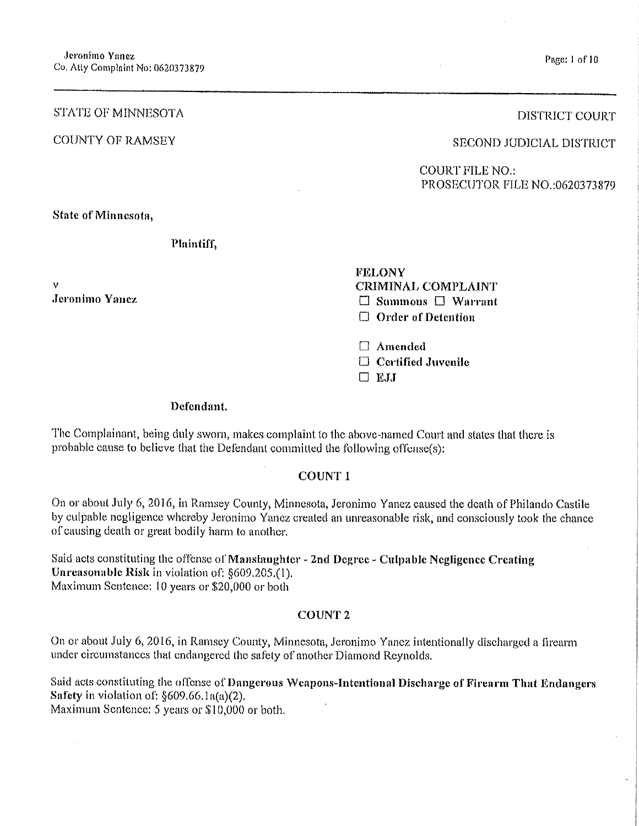**STATE OF MINNESOTA** 

**COUNTY OF RAMSEY** 

# **DISTRICT COURT**

SECOND JUDICIAL DISTRICT

**COURT FILE NO.:** PROSECUTOR FILE NO.:0620373879

State of Minnesota,

**Plaintiff.** 

 $\dot{v}$ Jeronimo Yanez **FELONY CRIMINAL COMPLAINT**  $\Box$  Summons  $\Box$  Warrant  $\Box$  Order of Detention

 $\Box$  Amended  $\Box$  Certified Juvenile

 $\Box$  E.LI

#### Defendant.

The Complainant, being duly sworn, makes complaint to the above-named Court and states that there is probable cause to believe that the Defendant committed the following offense(s):

### **COUNT 1**

On or about July 6, 2016, in Ramsey County, Minnesota, Jeronimo Yanez caused the death of Philando Castile by culpable negligence whereby Jeronimo Yanez created an unreasonable risk, and consciously took the chance of causing death or great bodily harm to another.

Said acts constituting the offense of Manslaughter - 2nd Degree - Culpable Negligence Creating Unreasonable Risk in violation of: §609.205.(1). Maximum Sentence: 10 years or \$20,000 or both

### **COUNT 2**

On or about July 6, 2016, in Ramsey County, Minnesota, Jeronimo Yanez intentionally discharged a firearm under circumstances that endangered the safety of another Diamond Reynolds,

Said acts constituting the offense of Dangerous Weapons-Intentional Discharge of Firearm That Endangers Safety in violation of:  $§609.66.1a(a)(2)$ . Maximum Sentence: 5 years or \$10,000 or both.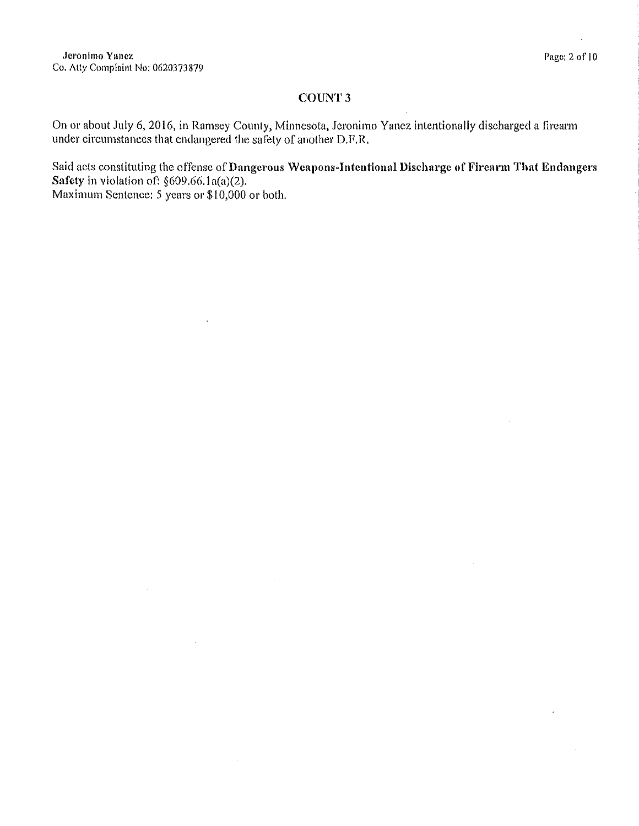$\bar{\mathbf{r}}$ 

# **COUNT 3**

On or about July 6, 2016, in Ramsey County, Minnesota, Jeronimo Yanez intentionally discharged a firearm under circumstances that endangered the safety of another D.F.R.

Said acts constituting the offense of Dangerous Weapons-Intentional Discharge of Firearm That Endangers Safety in violation of:  $§609.66.1a(a)(2)$ . Maximum Sentence: 5 years or \$10,000 or both.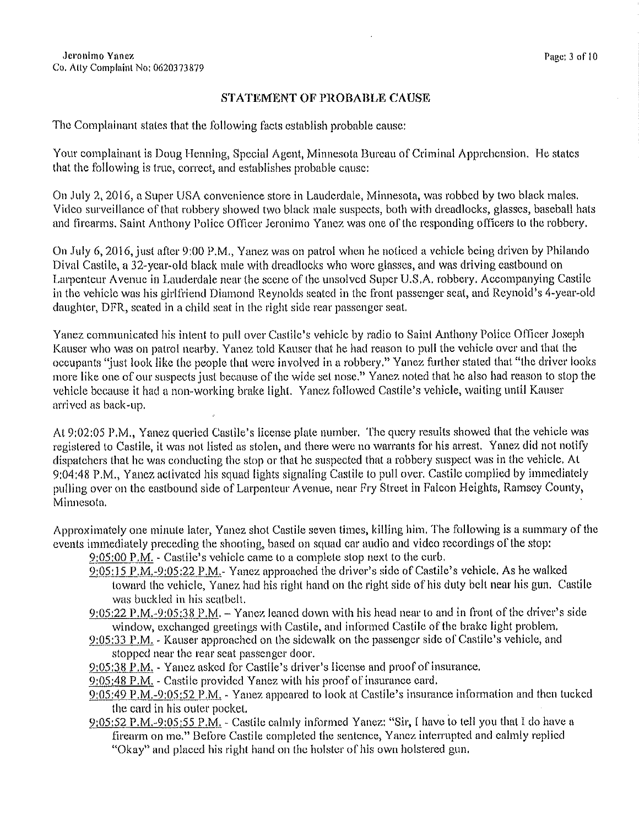# STATEMENT OF PROBABLE CAUSE

The Complainant states that the following facts establish probable cause:

Your complainant is Doug Henning, Special Agent, Minnesota Bureau of Criminal Apprehension. He states that the following is true, correct, and establishes probable cause:

On July 2, 2016, a Super USA convenience store in Lauderdale, Minnesota, was robbed by two black males. Video surveillance of that robbery showed two black male suspects, both with dreadlocks, glasses, baseball hats and firearms. Saint Anthony Police Officer Jeronimo Yanez was one of the responding officers to the robbery.

On July 6, 2016, just after 9:00 P.M., Yanez was on patrol when he noticed a vehicle being driven by Philando Dival Castile, a 32-year-old black male with dreadlocks who wore glasses, and was driving eastbound on Larpenteur Avenue in Lauderdale near the scene of the unsolved Super U.S.A. robbery. Accompanying Castile in the vehicle was his girlfriend Diamond Reynolds seated in the front passenger seat, and Reynold's 4-year-old daughter, DFR, seated in a child seat in the right side rear passenger seat.

Yanez communicated his intent to pull over Castile's vehicle by radio to Saint Anthony Police Officer Joseph ICauser who was on patrol nearby. Yanez told Kauscr that he had reason to pull the vehicle over and that the occupants "just look like the people that were involved in a robbery." Yanez further stated that "the driver looks more like one of our suspects just because of the wide set nose." Yanez noted that he also had reason to stop the vehicle because it had a non-working brake light. Yanez followed Castile's vehicle, waiting until Kauser arrived as back-up.

At 9:02:05 P.M., Yanez queried Castile's license plate number. The query results showed that the vehicle was registered to Castile, it was not listed as stolen, and there were no warrants for his arrest. Yanez did not notify dispatchers that he was conducting the stop or that he suspected that a robbery suspect was in the vehicle. At 9:04:48 P.M., Yanez activated his squad lights signaling Castile to pull over. Castile complied by immediately pulling over on the eastbound side of Larpenteur Avenue, near Fry Street in Falcon Heights, Ramsey County, Minnesota.

Approximately one minute later, Yanez shot Castile seven times, killing him. The following is a summary of the events immediately preceding the shooting, based on squad car audio and video recordings of the stop:

- 9:05:00 P.M. Castilc\*s vehicle came to a complete stop next to the curb.
- 9:05:15 P.M.-9:05:22 P.M.- Yanez approached the driver's side of Castile's vehicle. As he walked toward the vehicle, Yanez had his right hand on the right side of his duty belt near his gun. Castile was buckled in his seatbelt.
- $9:05:22 \text{ P.M.} 9:05:38 \text{ P.M.} \text{Yanez}$  leaned down with his head near to and in front of the driver's side window, exchanged greetings with Castile, and informed Castile of the brake light problem.
- 9:05:33 P.M. Kauser approached on the sidewalk on the passenger side of Castile's vehicle, and stopped near the rear seat passenger door.
- 9:05:38 P.M. Yanez asked for Castile's driver's license and proof of insurance.
- 9:05:48 P.M. Castile provided Yanez with his proof of insurance card.
- 9:05:49 P,M.-9:05:52 P.M. Yanez appeared to look at Castile's insurance information and then tucked the card in his outer pocket.
- 9:05:52 P.M.-9:05:55 P.M. Castile calmly informed Yanez: "Sir, I have to tell you that I do have a firearm on me." Before Castile completed the sentence, Yanez interrupted and calmly replied "Okay" and placed his right hand on the holster of his own holstered gun,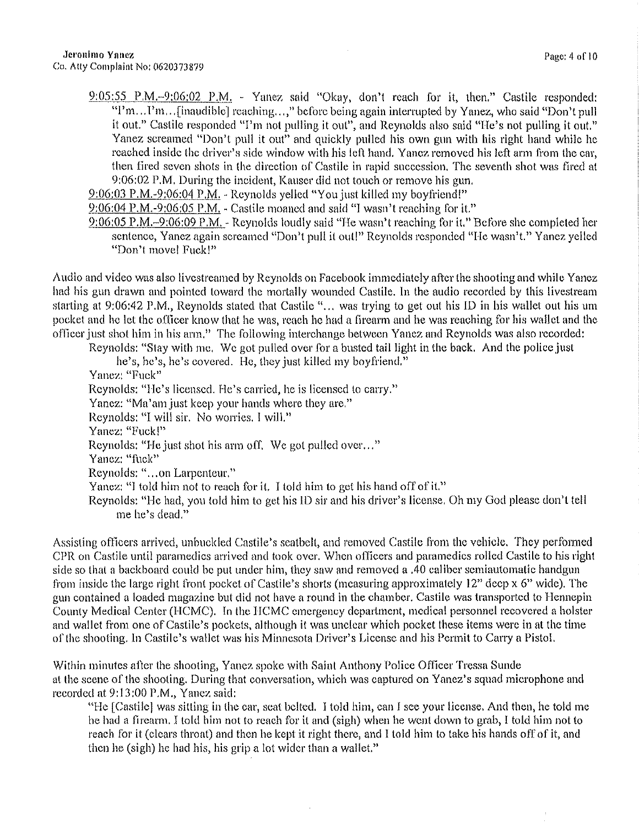$9:05:55$  P,M,  $-9:06:02$  P,M, - Yanez said "Okay, don't reach for it, then." Castile responded: "I'm...I'm...[inaudible] reaching...," before being again interrupted by Yanez, who said "Don't pull it out." Castile responded "I'm not pulling it out", and Reynolds also said "He's not pulling it out." Yanez screamed "Don't pull it out" and quickly pulled his own gun with his right hand while he reached inside the driver's side window with his left hand. Yancz removed his left arm from the car, then fired seven shots in the direction of Castile in rapid succession. The seventh shot was fired at 9:06:02 P.M. During the incident, Kausor did not touch or remove his gun,

9:06:03 P.M.-9:06:04 P.M. - Reynolds yelled "You just killed my boyfriend!"

9:06:04 P.M.-9:06:05 P.M. - Castile moaned and said "I wasn't reaching for it."

9:06:05 P.M.-9:06:09 P.M. - Reynolds loudly said "He wasn't reaching for it." Before she completed her sentence, Yanez again screamed "Don't pull it out!" Reynolds responded "He wasn't." Yanez yelled "Don't move! Fuck!"

Audio and video was also livestreamed by Reynolds on Facebook immediately after the shooting and while Yanez had his gun drawn and pointed toward the mortally wounded Castile. In the audio recorded by this livestream starting at 9:06:42 P.M,, Reynolds slated that Castilc "... was trying to get out his ID in his wallel out his um pocket and he let the officer know that he was, reach he had a firearm and he was reaching for his wallet and the officer just shot him in his arm," The following interchange between Yanez and Reynolds was also recorded;

Reynolds: "Stay with me, We got pulled over For a busted tail light in the back. And the police just he's, he's, he's covered. He, they just killed my boyfriend." Yancz; "Fuck" Reynolds: "He's licensed. He's carried, he is licensed to carry." Yanez: "Ma'am just keep your hands where they are." Reynolds: "I will sir. No worries. I will." Yancz: "Fuck!" Reynolds: "He just shot his arm off. We got pulled over..." Yanez; "fuck" Reynolds: "...on Larpcnteur." Yanez: "I told him not to reach for it. I told him to get his hand off of it." Reynolds: "He had, you told him to get his ID sir and his driver's license. Oh my God please don't tell me he's dead,"

Assisting officers arrived, unbuckled Castile's scatbelt, and removed Castile from the vehicle. They performed CPR on Castile until paramedics arrived and took over. When officers and paramedics rolled Castile to his right side so that a backboard could be put under him, they saw and removed a ,40 caliber semiautomatic handgun from inside the large right front pocket of Castile's shorts (measuring approximately  $12$ " deep x 6" wide). The gun contained a loaded magazine but did not have a round in the chamber. Castile was transported to Hennepin County Medical Center (HCMC). In the HCMC emergency department, medical personnel recovered a holster and wallet from one of Castile's pockets, although it was unclear which pocket these items were in at the time of the shooting. In Castilc's wallet way his Minnesota Driver's License and his Permit to Carry a Pistol.

Within minutes after the shooting, Yanez spoke with Saint Anthony Police Officer Tressa Sunde at the scene of the shooting. During that conversation, which was captured on Yanez's squad microphone and recorded at 9:13:00 P.M., Yanez said:

"He [Castile] was sitting in the car, seat belted. I told him, can I see your license. And then, he told me he had a firearm. I told him not to reach for it and (sigh) when he went down to grab, I told him not to reach for it (clears throat) and then he kept it right there, and I told him to take his hands off of it, and then he (sigh) he had his, his grip a tot wider than a wallet."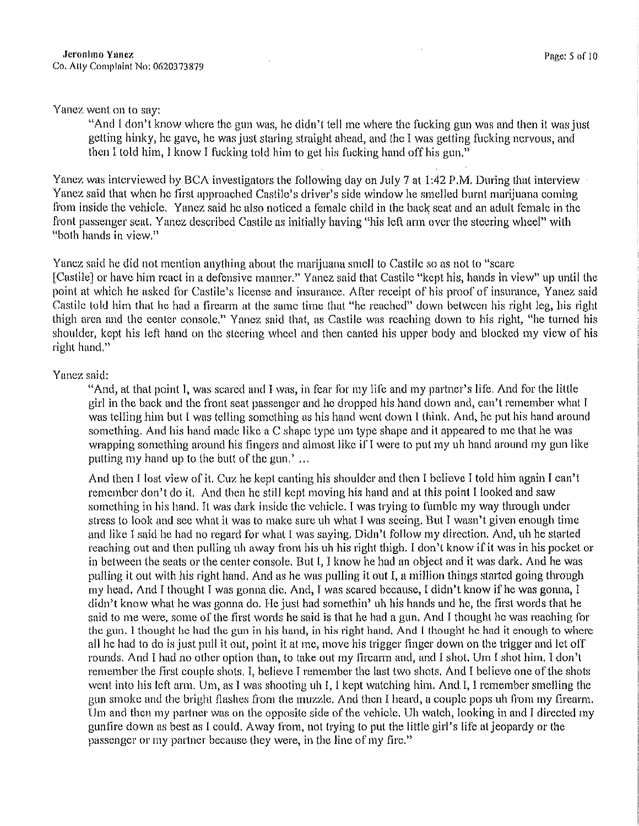# Yanez went on to say:

"And I don't know where the gun was, he didn't tell me where the fucking gun was and then it was just getting hinky, he gave, he was just staring straight ahead, and the I was getting fucking nervous, and then I told him, I know I fucking told him to get his fucking hand off his gun."

Yanez was interviewed by BCA investigators the following day on July 7 at 1:42 P.M. During that interview Yanez said that when he first approached Castile's driver's side window he smelled burnt marijuana coming from inside the vehicle. Yanez said he also noticed a female child in the back seat and an adult female in the front passenger seat. Yanez described Castile as initially having "his left arm over the steering wheel" with "both hands in view."

Yanez said he did not mention anything about the marijuana smell to Castile so as not to "scare" [Castile] or have him react in a defensive manner." Yanez said that Castile "kept his, hands in view" up until the poinl at which he asked for Castfle's license and insurance. After receipt of his proof of insurance, Yanez said Castile told him that he had a firearm at the same time that "he reached" down between his right leg, his right thigh area and the center console," Yanez said that, as Castile was reaching down to his right, "he turned his shoulder, kept his left hand on the steering wheel and then canted his upper body and blocked my view of his right hand,"

# Yanez said:

"And, at that point I, was scared and 1 was, in fear for my life and my partner's life, And for the little girl in the back and the front seat passenger and he dropped his hand down and, can't remember what I was telling him but I was tclimg something as his hand went down I think. And, he put his hand around something. And his hand made like a C shape type um type shape and it appeared to me that he was wrapping something around his fingers and almost like if I were to put my uh hand around my gun like putting my hand up to the butt of the gun.'...

And then I lost view of it. Cuz he kept canting his shoulder and then I believe I told him again I can't remember don't do it. And then he still kept moving his hand and at this point I looked and saw something in his hand. It was dark inside the vehicle. I was trying to fumble my way through under stress to look and sec what it was to make sure uh what I was seeing. But I wasn't given enough time and like I said ho had no regard for what I was saying. Didn't follow my direction. And, uh he slarted reaching out and then pulling uli away from his uh his right thigh. I don'i know if it was in his pocket or in between the seats or Ihe center console. But I, I know he had an object and it was dark. And he was pulling it out with his right hand. And as he was pulling it out I, a million things started going through my head, And I thought I was gonna die, And, I was scared because, I didn't know if he was gonna, I didn't know what he was gonna do. He just had somethin' uh his hands and he, the first words that he said to me were, some of the first words he said is that he had a gun. And I thought he was reaching for the gun. I thought he had the gun in his hand, in his right hand. And I thought he had it enough to where all he had to do is just pull it out, point it at me, move his trigger finger down on the trigger and let off rounds. And I had no other option than, to take out my firearm and, and I shot. Um I shot him. I don't remember the first couple shots, I, believe I remember the last two shots, And I believe one of the shots went into his left arm. Um, as I was shooting uh I, I kept watching him. And, I, I remember smelling the gun smoke and the bright flashes from the muzzle. And then I heard, a couple pops uh from my firearm. Um and then my partner was on the opposite side of the vehicle. Uh watch, looking in and I directed my gunfire down as best as I could. Away from, not trying to put the little girl's life at jeopardy or the passenger or my partner because they were, in the line of my fire."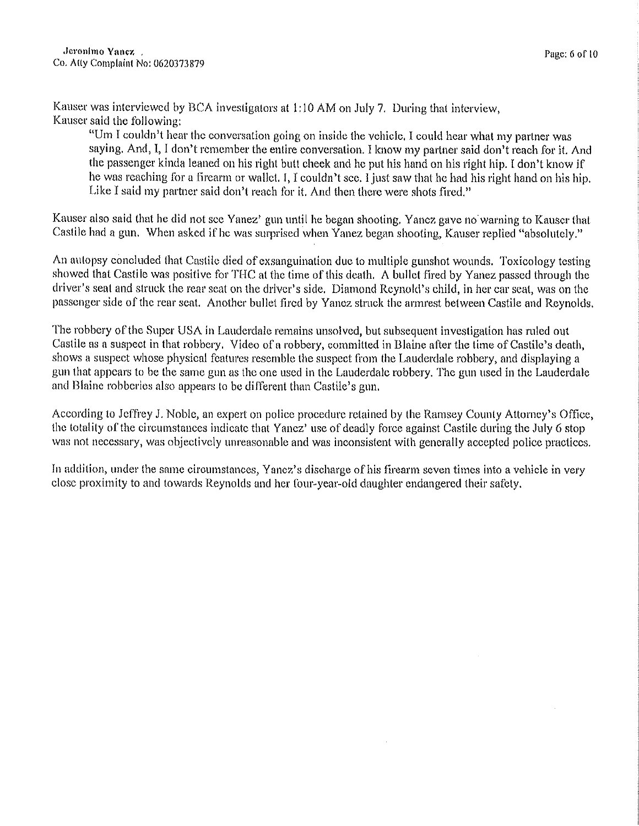Kauser was interviewed by BCA investigators at 1:10 AM on July 7. During that interview, Kauser said ihe foilowing;

"Um I couldn't hear the conversation going on inside the vehicle. I could hear what my partner was saying. And, I, I don't remember the entire conversation. I know my partner said don't reach for it. And the passenger kinda leaned on his right butt cheek and he put his hand on his right hip. I don't know if he was reaching for a firearm or wallet. I, I couldn't see. I just saw that he had his right hand on his hip. Like I said my partner said don't reach for it. And then there were shots fired."

Kauser also said that he did not see Yanez' gun until he began shooting. Yanez gave no warning to Kauser that Castile had a gun. When asked if he was surprised when Yanez began shooting, Kauser replied "absolutely."

An autopsy concluded that Castile died of exsanguination due to multiple gunshot wounds. Toxicology testing showed that Castile was positive for THC at the time of this death. A bullet fired by Yanez passed through the driver's seat and struck the rear seat on the driver's side. Diamond Reynold's child, in her car seat, was on the passenger side of the rear sent. Another bullet fired by Yancz struck the armrest between Castiie and Reynolds.

The robbery ofthe Super USA in Laudcrdalc remains unsolvcd, but subsequent investigation has ruled out Castile as a suspect in that robbery. Video of a robbery, committed in Blaine after the time of Castile's death, shows a suspect whose physical features resemble the suspect from the Lauderdale robbery, and displaying a gun that appears to be the same gun as the one used in the Lauclercialc robbery. The gun used in the Lauderdale and Biaine robberies also appears to be diFferent than Castilc's gun.

According to Jeffrey J. Noble, an expert on police procedure retained by the Ramsey County Attorney's Office, the totality oF the circumstances indicate that Yancz' use of deadly force against Castilc during the July 6 stop was not necessary, was objectively unreasonable and was inconsistent with generally accepted police practices.

In addition, under the same circumstances, Yanez's discharge of his firearm seven times into a vehicle in very close proximity to and towards Reynolds mid her four-year-old daughter endangered their safety.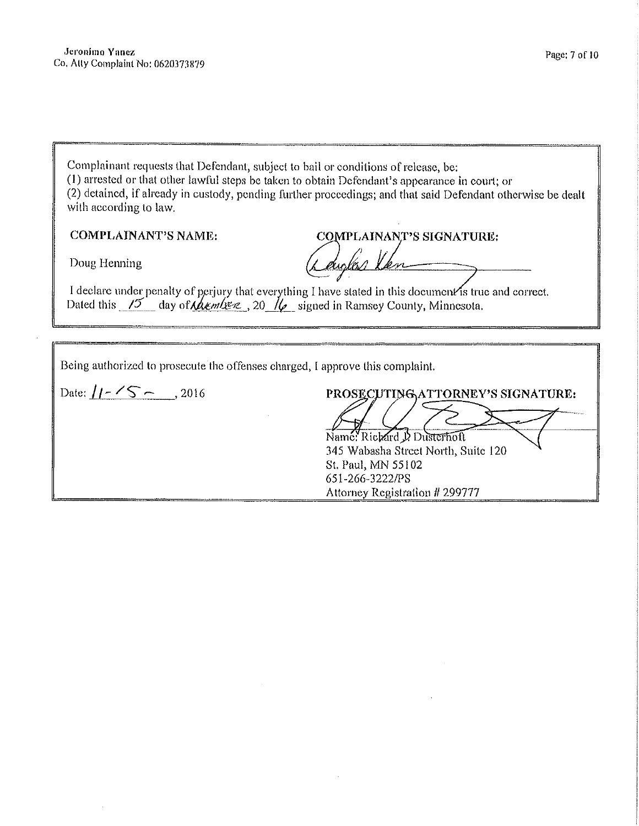Complainant requests that Defendant, subject to bail or conditions of release, be:  $(1)$  arrested or that other lawful steps be taken to obtain Defendant's appearance in court; or (2) detained, if already in custody, pending further proccedings; and that said Defendant otherwise be dealt with according to law. COMPLAINANT'S NAME: COMPLAINANT'S SIGNATURE; Cauglas Ve Doug Henning I declare under penalty of perjury that everything I have stated in this document⁄is true and correct Dated this \_*/2* \_ day of *AA&mben* 20\_/(*\* signed in Ramsey County, Minnesota. Being authorized to prosecute the offcnses charged, I approve this complaint. Date:  $11-\sqrt{5}$  , 2016 PROSECUTING, ATTORNEY'S SIGNATURE: Name? Richard J. Dusterhoft 345 Wabasha Street North, Suite 120 St. Paul, MN 55102

651-266-3222/PS

Attorney Registration # 299777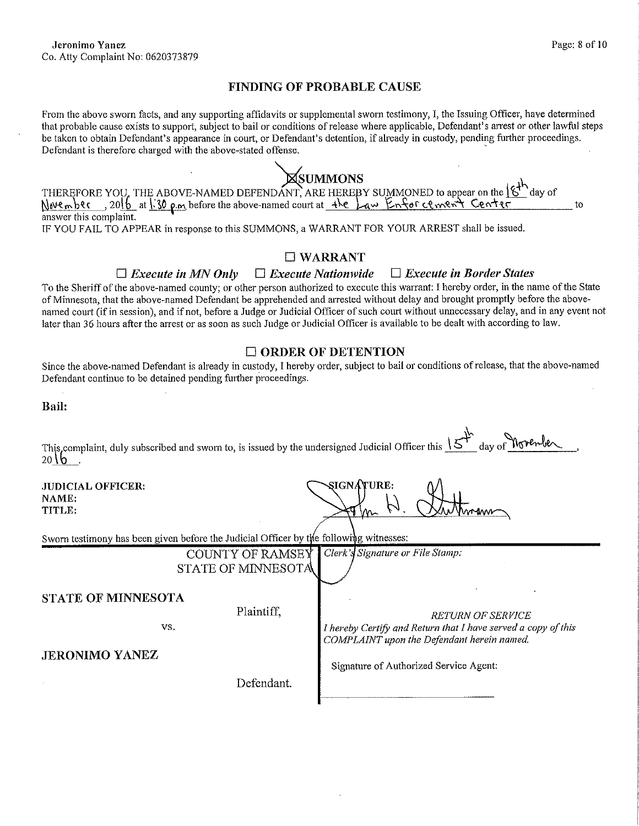### FINDING OF PROBABLE CAUSE

From the above sworn facts, and any supporting affidavits or supplemental sworn testimony, I, the Issuing Officer, have determined that probable cause exists to support, subject to bail or conditions of release where applicable, Defendant's arrest or other lawful steps be taken to obtain Defendant's appearance in court, or Defendant's detention, if already in custody, pending further proceedings. Defendant is therefore charged with the above-stated offense.

# ^SUMMONS

MSUMMONS<br>THEREFORE YOU, THE ABOVE-NAMED DEFENDANT, ARE HEREPY SUMMONED to appear on the  $\langle \xi^{\mu} \rangle$  day of November , 2016 at  $\frac{1}{30}$  p,m, before the above-named court at  $-^{\frac{1}{2}}$  Cenfor cement Center to answer this complaint.

IF YOU FAIL TO APPEAR in response to this SUMMONS, a WARRANT FOR YOUR ARREST shall be issued.

# WARRANT

# $\Box$  Execute in MN Only  $\Box$  Execute Nationwide  $\Box$  Execute in Border States

To the Sheriff of the above-named county; or other person authorized to execute this warrant: I hereby order, in the name of the State of Minnesota, that the above-named Defendant be apprehended and arrested without delay and brought promptly before the abovenamed court (if in session), and if not, before a Judge or Judicial Officer of such court without unnecessary delay, and in any event not later than 36 hours after the arrest or as soon as such Judge or Judicial Officer is available to be dealt with according to law.

# $\square$  ORDER OF DETENTION

Since the above-named Defendant is already in custody, I hereby order, subject to bail or conditions of release, that the above-named Defendant continue to be detained pending further proceedings.

Bail:

| This complaint, duly subscribed and sworn to, is issued by the undersigned Judicial Officer this $154$ day of $Mv$ the $2016$ . |  |  |
|---------------------------------------------------------------------------------------------------------------------------------|--|--|
|---------------------------------------------------------------------------------------------------------------------------------|--|--|

| <b>JUDICIAL OFFICER:</b> |  |
|--------------------------|--|
| NAME:                    |  |
| TITLE:                   |  |

| signAture: | <b><i><u>CONTERNATION</u></i></b> |
|------------|-----------------------------------|
|            | menn                              |

Clerk's Signature or File Stamp:

Sworn testimony has been given before the Judicial Officer by the following witnesses:

COUNTY OF RAMSEY STATE OF MINNESOTA

STATE OF MINNESOTA

Plaintiff,

vs.

JERONIMO YANEZ

Defendant.

# RETURN OF SERVICE

/ hereby Certify and Return that I have served a copy of this COMPLAINT upon the Defendant herein named.

Signature of Authorized Service Agent: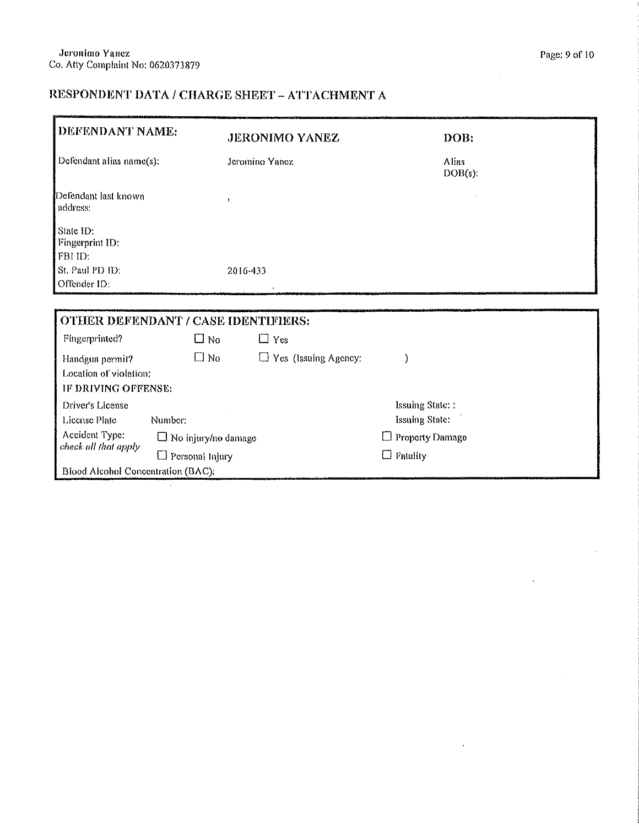# RESPONDENT DATA / CHARGE SHEET - ATTACHMENT A

| DEFENDANT NAME:                         | <b>JERONIMO YANEZ</b> | DOB:                       |
|-----------------------------------------|-----------------------|----------------------------|
| Defondant alias name(s):                | Jeromino Yancz        | <b>Alias</b><br>$DOB(s)$ : |
| Defendant last known<br>address;        |                       |                            |
| State ID:<br>Fingerprint ID:<br>FBI ID: |                       |                            |
| St. Paul PD ID;<br>Offender ID:         | 2016-433<br>$\sim$    |                            |

| OTHER DEFENDANT / CASE IDENTIFIERS:                                                                      |                            |            |                        |  |  |
|----------------------------------------------------------------------------------------------------------|----------------------------|------------|------------------------|--|--|
| Fingerprinted?                                                                                           | □ No                       | $\Box$ Yes |                        |  |  |
| LI No<br>$\Box$ Yes (Issuing Agency:<br>Handgun permit?<br>Location of violation:<br>IF DRIVING OFFENSE: |                            |            |                        |  |  |
| Issuing State::<br>Driver's License                                                                      |                            |            |                        |  |  |
| License Plate                                                                                            | Number:                    |            | <b>Issuing State:</b>  |  |  |
| Accident Type:                                                                                           | $\Box$ No injury/no damage |            | $\Box$ Property Damage |  |  |
| check all that apply                                                                                     | Personal Injury            |            | $\Box$ Fatality        |  |  |
| Blood Alcohol Concentration (BAC);                                                                       |                            |            |                        |  |  |